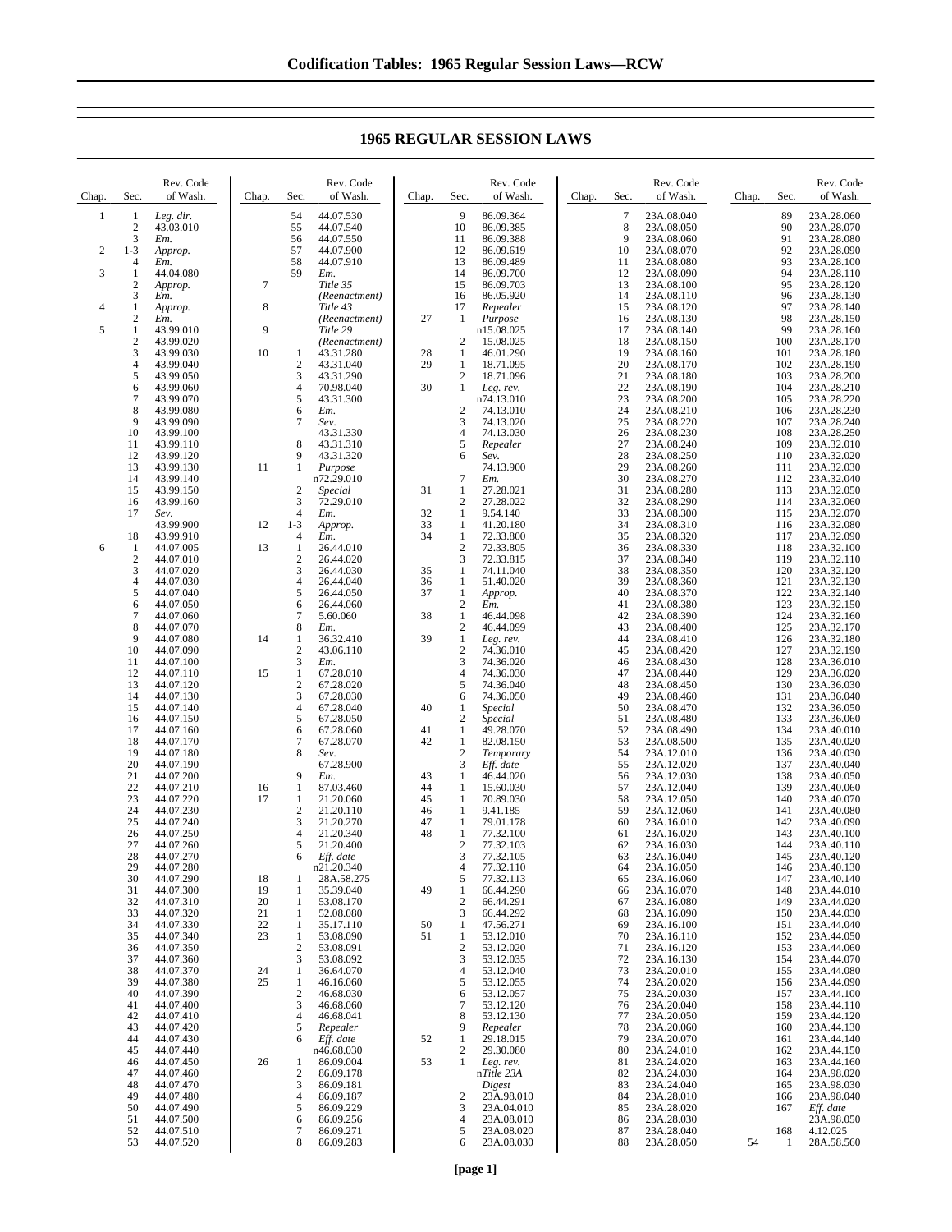| Chap. | Sec.                                    | Rev. Code<br>of Wash.  | Chap.          | Sec.                         | Rev. Code<br>of Wash.     | Chap.    | Sec.                         | Rev. Code<br>of Wash.    | Chap. | Sec.        | Rev. Code<br>of Wash.    | Chap. | Sec.       | Rev. Code<br>of Wash.    |
|-------|-----------------------------------------|------------------------|----------------|------------------------------|---------------------------|----------|------------------------------|--------------------------|-------|-------------|--------------------------|-------|------------|--------------------------|
| 1     | 1<br>$\sqrt{2}$                         | Leg. dir.<br>43.03.010 |                | 54<br>55                     | 44.07.530                 |          | 9<br>10                      | 86.09.364<br>86.09.385   |       | $\tau$<br>8 | 23A.08.040               |       | 89<br>90   | 23A.28.060               |
|       | 3                                       | Em.                    |                | 56                           | 44.07.540<br>44.07.550    |          | 11                           | 86.09.388                |       | 9           | 23A.08.050<br>23A.08.060 |       | 91         | 23A.28.070<br>23A.28.080 |
| 2     | $1 - 3$                                 | Approp.                |                | 57                           | 44.07.900                 |          | 12                           | 86.09.619                |       | 10          | 23A.08.070               |       | 92         | 23A.28.090               |
| 3     | 4<br>1                                  | Em.                    |                | 58<br>59                     | 44.07.910                 |          | 13<br>14                     | 86.09.489                |       | 11<br>12    | 23A.08.080               |       | 93<br>94   | 23A.28.100               |
|       | $\boldsymbol{2}$                        | 44.04.080<br>Approp.   | $\overline{7}$ |                              | Em.<br>Title 35           |          | 15                           | 86.09.700<br>86.09.703   |       | 13          | 23A.08.090<br>23A.08.100 |       | 95         | 23A.28.110<br>23A.28.120 |
|       | 3                                       | Em.                    |                |                              | (Reenactment)             |          | 16                           | 86.05.920                |       | 14          | 23A.08.110               |       | 96         | 23A.28.130               |
| 4     | $\mathbf{1}$<br>$\overline{\mathbf{c}}$ | Approp.<br>Em.         | $\,$ 8 $\,$    |                              | Title 43<br>(Reenactment) | 27       | 17<br>1                      | Repealer<br>Purpose      |       | 15<br>16    | 23A.08.120<br>23A.08.130 |       | 97<br>98   | 23A.28.140<br>23A.28.150 |
| 5     | $\mathbf{1}$                            | 43.99.010              | 9              |                              | Title 29                  |          |                              | n15.08.025               |       | 17          | 23A.08.140               |       | 99         | 23A.28.160               |
|       | $\overline{c}$                          | 43.99.020              |                |                              | (Reenactment)             |          | 2                            | 15.08.025                |       | 18          | 23A.08.150               |       | 100        | 23A.28.170               |
|       | 3<br>$\overline{4}$                     | 43.99.030<br>43.99.040 | 10             | 1<br>$\overline{c}$          | 43.31.280<br>43.31.040    | 28<br>29 | 1<br>1                       | 46.01.290<br>18.71.095   |       | 19<br>20    | 23A.08.160<br>23A.08.170 |       | 101<br>102 | 23A.28.180<br>23A.28.190 |
|       | 5                                       | 43.99.050              |                | 3                            | 43.31.290                 |          | $\sqrt{2}$                   | 18.71.096                |       | 21          | 23A.08.180               |       | 103        | 23A.28.200               |
|       | 6<br>$\overline{7}$                     | 43.99.060              |                | $\overline{4}$<br>5          | 70.98.040<br>43.31.300    | 30       | 1                            | Leg. rev.<br>n74.13.010  |       | 22<br>23    | 23A.08.190<br>23A.08.200 |       | 104<br>105 | 23A.28.210<br>23A.28.220 |
|       | 8                                       | 43.99.070<br>43.99.080 |                | 6                            | Em.                       |          | $\boldsymbol{2}$             | 74.13.010                |       | 24          | 23A.08.210               |       | 106        | 23A.28.230               |
|       | 9                                       | 43.99.090              |                | $\tau$                       | Sev.                      |          | 3                            | 74.13.020                |       | 25          | 23A.08.220               |       | 107        | 23A.28.240               |
|       | 10<br>11                                | 43.99.100<br>43.99.110 |                | 8                            | 43.31.330<br>43.31.310    |          | 4<br>5                       | 74.13.030<br>Repealer    |       | 26<br>27    | 23A.08.230<br>23A.08.240 |       | 108<br>109 | 23A.28.250<br>23A.32.010 |
|       | 12                                      | 43.99.120              |                | 9                            | 43.31.320                 |          | 6                            | Sev.                     |       | 28          | 23A.08.250               |       | 110        | 23A.32.020               |
|       | 13                                      | 43.99.130              | 11             | 1                            | Purpose                   |          |                              | 74.13.900                |       | 29          | 23A.08.260               |       | 111        | 23A.32.030               |
|       | 14<br>15                                | 43.99.140<br>43.99.150 |                | $\overline{\mathbf{c}}$      | n72.29.010<br>Special     | 31       | 7<br>1                       | Em.<br>27.28.021         |       | 30<br>31    | 23A.08.270<br>23A.08.280 |       | 112<br>113 | 23A.32.040<br>23A.32.050 |
|       | 16                                      | 43.99.160              |                | 3                            | 72.29.010                 |          | $\boldsymbol{2}$             | 27.28.022                |       | 32          | 23A.08.290               |       | 114        | 23A.32.060               |
|       | 17                                      | Sev.                   |                | $\overline{4}$               | Em.                       | 32       | 1                            | 9.54.140                 |       | 33          | 23A.08.300               |       | 115        | 23A.32.070               |
|       | 18                                      | 43.99.900<br>43.99.910 | 12             | $1 - 3$<br>4                 | Approp.<br>Em.            | 33<br>34 | 1<br>1                       | 41.20.180<br>72.33.800   |       | 34<br>35    | 23A.08.310<br>23A.08.320 |       | 116<br>117 | 23A.32.080<br>23A.32.090 |
| 6     | 1                                       | 44.07.005              | 13             | $\mathbf{1}$                 | 26.44.010                 |          | $\mathbf{2}$                 | 72.33.805                |       | 36          | 23A.08.330               |       | 118        | 23A.32.100               |
|       | $\overline{c}$                          | 44.07.010              |                | $\overline{c}$               | 26.44.020                 |          | 3                            | 72.33.815                |       | 37          | 23A.08.340               |       | 119        | 23A.32.110               |
|       | 3<br>$\overline{4}$                     | 44.07.020<br>44.07.030 |                | 3<br>$\overline{4}$          | 26.44.030<br>26.44.040    | 35<br>36 | 1<br>1                       | 74.11.040<br>51.40.020   |       | 38<br>39    | 23A.08.350<br>23A.08.360 |       | 120<br>121 | 23A.32.120<br>23A.32.130 |
|       | 5                                       | 44.07.040              |                | 5                            | 26.44.050                 | 37       | 1                            | Approp.                  |       | 40          | 23A.08.370               |       | 122        | 23A.32.140               |
|       | 6                                       | 44.07.050              |                | 6                            | 26.44.060                 |          | $\boldsymbol{2}$             | Em.                      |       | 41          | 23A.08.380               |       | 123        | 23A.32.150               |
|       | $\overline{7}$<br>8                     | 44.07.060<br>44.07.070 |                | $\tau$<br>$\,$ 8 $\,$        | 5.60.060<br>Em.           | 38       | 1<br>$\overline{c}$          | 46.44.098<br>46.44.099   |       | 42<br>43    | 23A.08.390<br>23A.08.400 |       | 124<br>125 | 23A.32.160<br>23A.32.170 |
|       | 9                                       | 44.07.080              | 14             | 1                            | 36.32.410                 | 39       | 1                            | Leg. rev.                |       | 44          | 23A.08.410               |       | 126        | 23A.32.180               |
|       | 10<br>11                                | 44.07.090              |                | $\overline{\mathbf{c}}$<br>3 | 43.06.110                 |          | $\mathbf{2}$<br>3            | 74.36.010                |       | 45<br>46    | 23A.08.420               |       | 127<br>128 | 23A.32.190               |
|       | 12                                      | 44.07.100<br>44.07.110 | 15             | $\mathbf{1}$                 | Em.<br>67.28.010          |          | 4                            | 74.36.020<br>74.36.030   |       | 47          | 23A.08.430<br>23A.08.440 |       | 129        | 23A.36.010<br>23A.36.020 |
|       | 13                                      | 44.07.120              |                | $\sqrt{2}$                   | 67.28.020                 |          | 5                            | 74.36.040                |       | 48          | 23A.08.450               |       | 130        | 23A.36.030               |
|       | 14<br>15                                | 44.07.130<br>44.07.140 |                | 3<br>$\overline{4}$          | 67.28.030<br>67.28.040    | 40       | 6<br>1                       | 74.36.050                |       | 49<br>50    | 23A.08.460<br>23A.08.470 |       | 131<br>132 | 23A.36.040<br>23A.36.050 |
|       | 16                                      | 44.07.150              |                | 5                            | 67.28.050                 |          | $\boldsymbol{2}$             | Special<br>Special       |       | 51          | 23A.08.480               |       | 133        | 23A.36.060               |
|       | 17                                      | 44.07.160              |                | 6                            | 67.28.060                 | 41       | 1                            | 49.28.070                |       | 52          | 23A.08.490               |       | 134        | 23A.40.010               |
|       | 18<br>19                                | 44.07.170<br>44.07.180 |                | $\overline{7}$<br>8          | 67.28.070<br>Sev.         | 42       | 1<br>$\overline{\mathbf{c}}$ | 82.08.150<br>Temporary   |       | 53<br>54    | 23A.08.500<br>23A.12.010 |       | 135<br>136 | 23A.40.020<br>23A.40.030 |
|       | 20                                      | 44.07.190              |                |                              | 67.28.900                 |          | 3                            | Eff. date                |       | 55          | 23A.12.020               |       | 137        | 23A.40.040               |
|       | 21                                      | 44.07.200              |                | 9                            | Em.                       | 43       | 1                            | 46.44.020                |       | 56          | 23A.12.030               |       | 138        | 23A.40.050               |
|       | 22<br>23                                | 44.07.210<br>44.07.220 | 16<br>17       | $\mathbf{1}$<br>1            | 87.03.460<br>21.20.060    | 44<br>45 | 1<br>1                       | 15.60.030<br>70.89.030   |       | 57<br>58    | 23A.12.040<br>23A.12.050 |       | 139<br>140 | 23A.40.060<br>23A.40.070 |
|       | 24                                      | 44.07.230              |                | $\frac{2}{3}$                | 21.20.110                 | 46       | 1                            | 9.41.185                 |       | 59          | 23A.12.060               |       | 141        | 23A.40.080               |
|       | 25                                      | 44.07.240              |                | $\overline{4}$               | 21.20.270                 | 47<br>48 | 1<br>1                       | 79.01.178                |       | 60<br>61    | 23A.16.010               |       | 142<br>143 | 23A.40.090               |
|       | 26<br>27                                | 44.07.250<br>44.07.260 |                | 5                            | 21.20.340<br>21.20.400    |          | $\mathbf{2}$                 | 77.32.100<br>77.32.103   |       | 62          | 23A.16.020<br>23A.16.030 |       | 144        | 23A.40.100<br>23A.40.110 |
|       | 28                                      | 44.07.270              |                | 6                            | Eff. date                 |          | 3                            | 77.32.105                |       | 63          | 23A.16.040               |       | 145        | 23A.40.120               |
|       | 29<br>30                                | 44.07.280<br>44.07.290 | 18             | 1                            | n21.20.340<br>28A.58.275  |          | 4<br>5                       | 77.32.110<br>77.32.113   |       | 64<br>65    | 23A.16.050<br>23A.16.060 |       | 146<br>147 | 23A.40.130<br>23A.40.140 |
|       | 31                                      | 44.07.300              | 19             | 1                            | 35.39.040                 | 49       | 1                            | 66.44.290                |       | 66          | 23A.16.070               |       | 148        | 23A.44.010               |
|       | 32                                      | 44.07.310              | 20             | 1                            | 53.08.170                 |          | $\mathbf{2}$                 | 66.44.291                |       | 67          | 23A.16.080               |       | 149        | 23A.44.020               |
|       | 33<br>34                                | 44.07.320<br>44.07.330 | 21<br>22       | 1<br>1                       | 52.08.080<br>35.17.110    | 50       | 3<br>1                       | 66.44.292<br>47.56.271   |       | 68<br>69    | 23A.16.090<br>23A.16.100 |       | 150<br>151 | 23A.44.030<br>23A.44.040 |
|       | 35                                      | 44.07.340              | 23             | 1                            | 53.08.090                 | 51       | 1                            | 53.12.010                |       | 70          | 23A.16.110               |       | 152        | 23A.44.050               |
|       | 36                                      | 44.07.350              |                | $\overline{\mathbf{c}}$      | 53.08.091                 |          | $\boldsymbol{2}$             | 53.12.020                |       | 71          | 23A.16.120               |       | 153        | 23A.44.060               |
|       | 37<br>38                                | 44.07.360<br>44.07.370 | 24             | 3<br>1                       | 53.08.092<br>36.64.070    |          | 3<br>4                       | 53.12.035<br>53.12.040   |       | 72<br>73    | 23A.16.130<br>23A.20.010 |       | 154<br>155 | 23A.44.070<br>23A.44.080 |
|       | 39                                      | 44.07.380              | 25             | 1                            | 46.16.060                 |          | 5                            | 53.12.055                |       | 74          | 23A.20.020               |       | 156        | 23A.44.090               |
|       | 40<br>41                                | 44.07.390              |                | $\overline{\mathbf{c}}$<br>3 | 46.68.030<br>46.68.060    |          | 6<br>7                       | 53.12.057<br>53.12.120   |       | 75          | 23A.20.030               |       | 157<br>158 | 23A.44.100<br>23A.44.110 |
|       | 42                                      | 44.07.400<br>44.07.410 |                | $\overline{4}$               | 46.68.041                 |          | 8                            | 53.12.130                |       | 76<br>77    | 23A.20.040<br>23A.20.050 |       | 159        | 23A.44.120               |
|       | 43                                      | 44.07.420              |                | 5                            | Repealer                  |          | 9                            | Repealer                 |       | 78          | 23A.20.060               |       | 160        | 23A.44.130               |
|       | 44<br>45                                | 44.07.430<br>44.07.440 |                | 6                            | Eff. date<br>n46.68.030   | 52       | 1<br>2                       | 29.18.015<br>29.30.080   |       | 79<br>80    | 23A.20.070<br>23A.24.010 |       | 161<br>162 | 23A.44.140<br>23A.44.150 |
|       | 46                                      | 44.07.450              | 26             | 1                            | 86.09.004                 | 53       | 1                            | Leg. rev.                |       | 81          | 23A.24.020               |       | 163        | 23A.44.160               |
|       | 47                                      | 44.07.460              |                | $\overline{\mathbf{c}}$      | 86.09.178                 |          |                              | nTitle 23A               |       | 82          | 23A.24.030               |       | 164        | 23A.98.020               |
|       | 48<br>49                                | 44.07.470<br>44.07.480 |                | 3<br>$\overline{4}$          | 86.09.181<br>86.09.187    |          | $\mathbf{2}$                 | Digest<br>23A.98.010     |       | 83<br>84    | 23A.24.040<br>23A.28.010 |       | 165<br>166 | 23A.98.030<br>23A.98.040 |
|       | 50                                      | 44.07.490              |                | 5                            | 86.09.229                 |          | 3                            | 23A.04.010               |       | 85          | 23A.28.020               |       | 167        | Eff. date                |
|       | 51                                      | 44.07.500              |                | 6                            | 86.09.256                 |          | 4                            | 23A.08.010               |       | 86          | 23A.28.030               |       |            | 23A.98.050               |
|       | 52<br>53                                | 44.07.510<br>44.07.520 |                | 7<br>8                       | 86.09.271<br>86.09.283    |          | 5<br>6                       | 23A.08.020<br>23A.08.030 |       | 87<br>88    | 23A.28.040<br>23A.28.050 | 54    | 168<br>1   | 4.12.025<br>28A.58.560   |
|       |                                         |                        |                |                              |                           |          |                              |                          |       |             |                          |       |            |                          |

## **1965 REGULAR SESSION LAWS**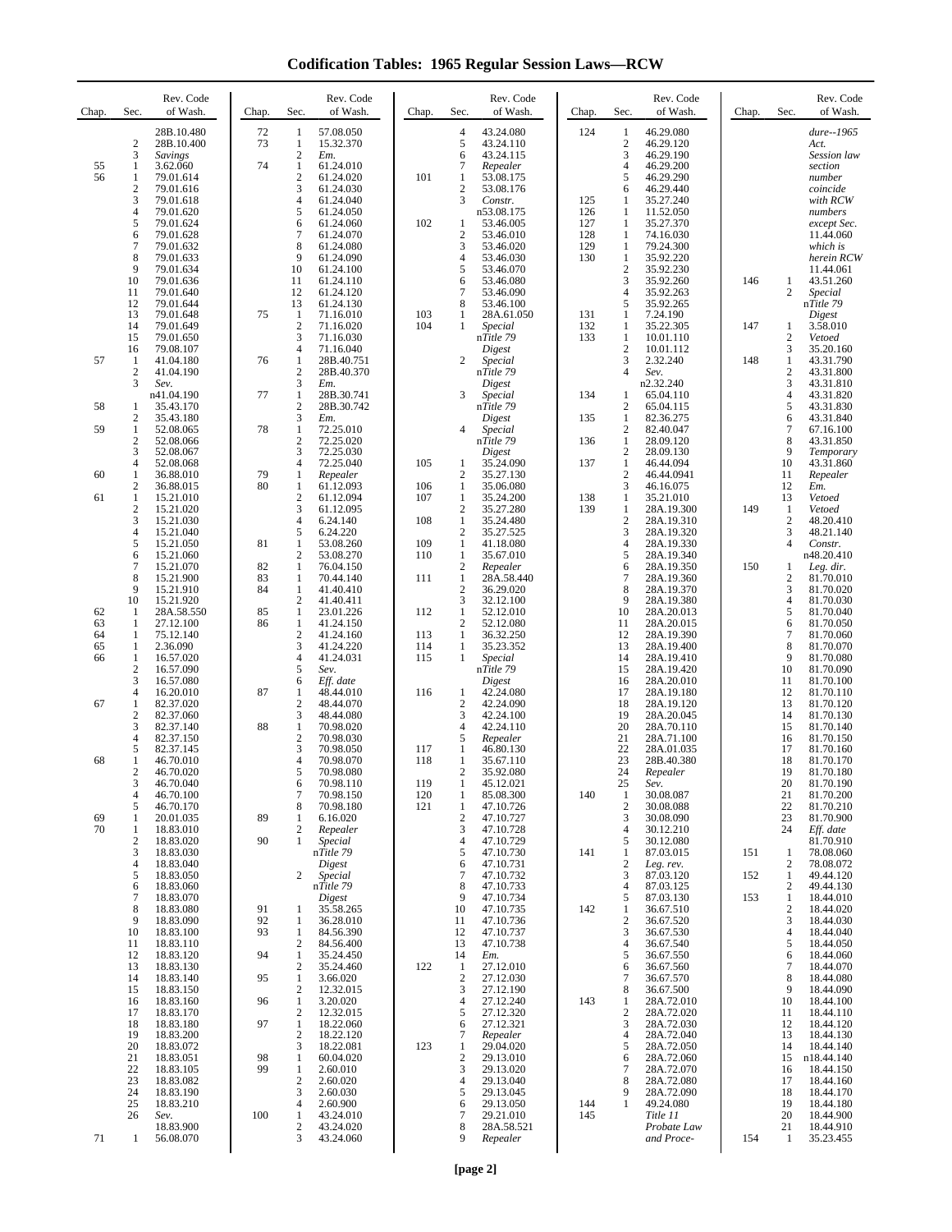**Codification Tables: 1965 Regular Session Laws—RCW**

| Chap.    | Sec.                             | Rev. Code<br>of Wash.    | Chap.    | Sec.                                    | Rev. Code<br>of Wash.    | Chap.      | Sec.                           | Rev. Code<br>of Wash.   | Chap.      | Sec.                  | Rev. Code<br>of Wash.     | Chap. | Sec.                             | Rev. Code<br>of Wash.   |
|----------|----------------------------------|--------------------------|----------|-----------------------------------------|--------------------------|------------|--------------------------------|-------------------------|------------|-----------------------|---------------------------|-------|----------------------------------|-------------------------|
|          | $\overline{c}$                   | 28B.10.480<br>28B.10.400 | 72<br>73 | 1<br>$\mathbf{1}$                       | 57.08.050<br>15.32.370   |            | $\overline{4}$<br>5            | 43.24.080<br>43.24.110  | 124        | 1<br>$\boldsymbol{2}$ | 46.29.080<br>46.29.120    |       |                                  | dure--1965<br>Act.      |
|          | 3                                | Savings                  |          | $\mathfrak{2}$                          | Em.                      |            | 6                              | 43.24.115               |            | 3                     | 46.29.190                 |       |                                  | Session law             |
| 55<br>56 | 1<br>1                           | 3.62.060<br>79.01.614    | 74       | $\mathbf{1}$<br>$\boldsymbol{2}$        | 61.24.010<br>61.24.020   | 101        | 7<br>1                         | Repealer<br>53.08.175   |            | 4<br>5                | 46.29.200<br>46.29.290    |       |                                  | section<br>number       |
|          | 2                                | 79.01.616                |          | 3                                       | 61.24.030                |            | $\overline{2}$                 | 53.08.176               |            | 6                     | 46.29.440                 |       |                                  | coincide                |
|          | 3<br>4                           | 79.01.618<br>79.01.620   |          | $\overline{4}$<br>5                     | 61.24.040<br>61.24.050   |            | 3                              | Constr.<br>n53.08.175   | 125<br>126 | 1<br>1                | 35.27.240<br>11.52.050    |       |                                  | with RCW<br>numbers     |
|          | 5                                | 79.01.624                |          | 6                                       | 61.24.060                | 102        | 1                              | 53.46.005               | 127        | 1                     | 35.27.370                 |       |                                  | except Sec.             |
|          | 6<br>7                           | 79.01.628<br>79.01.632   |          | 7<br>8                                  | 61.24.070<br>61.24.080   |            | $\overline{2}$<br>3            | 53.46.010<br>53.46.020  | 128<br>129 | 1<br>1                | 74.16.030<br>79.24.300    |       |                                  | 11.44.060<br>which is   |
|          | 8                                | 79.01.633                |          | 9                                       | 61.24.090                |            | $\overline{4}$                 | 53.46.030               | 130        | 1                     | 35.92.220                 |       |                                  | herein RCW              |
|          | 9<br>10                          | 79.01.634<br>79.01.636   |          | 10<br>11                                | 61.24.100<br>61.24.110   |            | 5<br>6                         | 53.46.070<br>53.46.080  |            | $\overline{c}$<br>3   | 35.92.230<br>35.92.260    | 146   | $\mathbf{1}$                     | 11.44.061<br>43.51.260  |
|          | 11                               | 79.01.640                |          | 12                                      | 61.24.120                |            | 7                              | 53.46.090               |            | 4                     | 35.92.263                 |       | $\overline{c}$                   | Special                 |
|          | 12<br>13                         | 79.01.644<br>79.01.648   | 75       | 13<br>1                                 | 61.24.130<br>71.16.010   | 103        | 8<br>1                         | 53.46.100<br>28A.61.050 | 131        | 5<br>1                | 35.92.265<br>7.24.190     |       |                                  | nTitle 79<br>Digest     |
|          | 14                               | 79.01.649                |          | $\overline{c}$                          | 71.16.020                | 104        | 1                              | Special                 | 132        | 1                     | 35.22.305                 | 147   | $\mathbf{1}$                     | 3.58.010                |
|          | 15<br>16                         | 79.01.650<br>79.08.107   |          | 3<br>4                                  | 71.16.030<br>71.16.040   |            |                                | nTitle 79<br>Digest     | 133        | 1<br>$\overline{c}$   | 10.01.110<br>10.01.112    |       | $\mathfrak{2}$<br>3              | Vetoed<br>35.20.160     |
| 57       | -1                               | 41.04.180                | 76       | $\mathbf{1}$                            | 28B.40.751               |            | $\overline{c}$                 | Special                 |            | 3<br>$\overline{4}$   | 2.32.240                  | 148   | $\mathbf{1}$                     | 43.31.790               |
|          | $\boldsymbol{2}$<br>3            | 41.04.190<br>Sev.        |          | $\mathfrak{2}$<br>3                     | 28B.40.370<br>Em.        |            |                                | nTitle 79<br>Digest     |            |                       | Sev.<br>n2.32.240         |       | $\mathfrak{2}$<br>3              | 43.31.800<br>43.31.810  |
|          |                                  | n41.04.190               | 77       | 1<br>$\sqrt{2}$                         | 28B.30.741<br>28B.30.742 |            | 3                              | Special                 | 134        | 1                     | 65.04.110                 |       | 4                                | 43.31.820<br>43.31.830  |
| 58       | 1<br>2                           | 35.43.170<br>35.43.180   |          | 3                                       | Em.                      |            |                                | nTitle 79<br>Digest     | 135        | 2<br>1                | 65.04.115<br>82.36.275    |       | 5<br>6                           | 43.31.840               |
| 59       | $\mathbf{1}$<br>$\overline{2}$   | 52.08.065<br>52.08.066   | 78       | $\mathbf{1}$<br>$\overline{c}$          | 72.25.010<br>72.25.020   |            | 4                              | Special<br>nTitle 79    | 136        | $\overline{c}$<br>1   | 82.40.047<br>28.09.120    |       | 7<br>8                           | 67.16.100<br>43.31.850  |
|          | 3                                | 52.08.067                |          | 3                                       | 72.25.030                |            |                                | Digest                  |            | 2                     | 28.09.130                 |       | 9                                | Temporary               |
| 60       | $\overline{4}$<br>$\mathbf{1}$   | 52.08.068<br>36.88.010   | 79       | $\overline{4}$<br>$\mathbf{1}$          | 72.25.040<br>Repealer    | 105        | 1<br>$\overline{2}$            | 35.24.090<br>35.27.130  | 137        | 1<br>$\overline{c}$   | 46.44.094<br>46.44.0941   |       | 10<br>11                         | 43.31.860<br>Repealer   |
|          | 2                                | 36.88.015                | 80       | $\mathbf{1}$                            | 61.12.093                | 106        | -1                             | 35.06.080               |            | 3                     | 46.16.075                 |       | 12                               | Em.                     |
| 61       | $\mathbf{1}$<br>$\boldsymbol{2}$ | 15.21.010<br>15.21.020   |          | $\boldsymbol{2}$<br>3                   | 61.12.094<br>61.12.095   | 107        | -1<br>$\overline{2}$           | 35.24.200<br>35.27.280  | 138<br>139 | 1<br>$\mathbf{1}$     | 35.21.010<br>28A.19.300   | 149   | 13<br>1                          | Vetoed<br>Vetoed        |
|          | 3                                | 15.21.030                |          | $\overline{4}$                          | 6.24.140                 | 108        | $\mathbf{1}$                   | 35.24.480               |            | $\overline{c}$        | 28A.19.310                |       | $\mathbf{2}$                     | 48.20.410               |
|          | 4<br>5                           | 15.21.040<br>15.21.050   | 81       | 5<br>1                                  | 6.24.220<br>53.08.260    | 109        | $\overline{2}$<br>1            | 35.27.525<br>41.18.080  |            | 3<br>$\overline{4}$   | 28A.19.320<br>28A.19.330  |       | 3<br>4                           | 48.21.140<br>Constr.    |
|          | 6                                | 15.21.060                |          | $\overline{c}$                          | 53.08.270                | 110        | -1                             | 35.67.010               |            | 5                     | 28A.19.340                |       |                                  | n48.20.410              |
|          | $\tau$<br>8                      | 15.21.070<br>15.21.900   | 82<br>83 | $\mathbf{1}$<br>1                       | 76.04.150<br>70.44.140   | 111        | $\overline{2}$<br>$\mathbf{1}$ | Repealer<br>28A.58.440  |            | 6<br>$\overline{7}$   | 28A.19.350<br>28A.19.360  | 150   | 1<br>$\overline{c}$              | Leg. dir.<br>81.70.010  |
|          | 9                                | 15.21.910                | 84       | $\mathbf{1}$                            | 41.40.410                |            | $\overline{2}$                 | 36.29.020               |            | 8                     | 28A.19.370                |       | 3                                | 81.70.020               |
| 62       | 10<br>$\mathbf{1}$               | 15.21.920<br>28A.58.550  | 85       | $\mathfrak{2}$<br>$\mathbf{1}$          | 41.40.411<br>23.01.226   | 112        | 3<br>-1                        | 32.12.100<br>52.12.010  |            | 9<br>10               | 28A.19.380<br>28A.20.013  |       | 4<br>5                           | 81.70.030<br>81.70.040  |
| 63       | 1                                | 27.12.100                | 86       | 1                                       | 41.24.150                |            | $\overline{2}$                 | 52.12.080               |            | 11                    | 28A.20.015                |       | 6                                | 81.70.050               |
| 64<br>65 | 1<br>1                           | 75.12.140<br>2.36.090    |          | $\boldsymbol{2}$<br>3                   | 41.24.160<br>41.24.220   | 113<br>114 | 1<br>-1                        | 36.32.250<br>35.23.352  |            | 12<br>13              | 28A.19.390<br>28A.19.400  |       | 7<br>8                           | 81.70.060<br>81.70.070  |
| 66       | 1<br>$\overline{2}$              | 16.57.020                |          | $\overline{4}$<br>5                     | 41.24.031                | 115        | 1                              | Special                 |            | 14                    | 28A.19.410                |       | 9<br>10                          | 81.70.080               |
|          | 3                                | 16.57.090<br>16.57.080   |          | 6                                       | Sev.<br>Eff. date        |            |                                | nTitle 79<br>Digest     |            | 15<br>16              | 28A.19.420<br>28A.20.010  |       | 11                               | 81.70.090<br>81.70.100  |
| 67       | $\overline{4}$<br>1              | 16.20.010<br>82.37.020   | 87       | 1<br>$\mathfrak{2}$                     | 48.44.010<br>48.44.070   | 116        | 1<br>$\overline{2}$            | 42.24.080<br>42.24.090  |            | 17<br>18              | 28A.19.180<br>28A.19.120  |       | 12<br>13                         | 81.70.110<br>81.70.120  |
|          | $\boldsymbol{2}$                 | 82.37.060                |          | 3                                       | 48.44.080                |            | 3                              | 42.24.100               |            | 19                    | 28A.20.045                |       | 14                               | 81.70.130               |
|          | 3<br>4                           | 82.37.140<br>82.37.150   | 88       | 1<br>$\overline{c}$                     | 70.98.020<br>70.98.030   |            | 4<br>5                         | 42.24.110<br>Repealer   |            | 20<br>21              | 28A.70.110<br>28A.71.100  |       | 15<br>16                         | 81.70.140<br>81.70.150  |
|          | 5                                | 82.37.145                |          | 3                                       | 70.98.050                | 117        | 1                              | 46.80.130               |            | 22                    | 28A.01.035                |       | 17                               | 81.70.160               |
| 68       | 1<br>$\overline{c}$              | 46.70.010<br>46.70.020   |          | $\overline{4}$<br>5                     | 70.98.070<br>70.98.080   | 118        | 1<br>$\overline{c}$            | 35.67.110<br>35.92.080  |            | 23<br>24              | 28B.40.380<br>Repealer    |       | 18<br>19                         | 81.70.170<br>81.70.180  |
|          | 3                                | 46.70.040                |          | 6                                       | 70.98.110                | 119        | 1                              | 45.12.021               |            | 25                    | Sev.                      |       | 20                               | 81.70.190               |
|          | $\overline{4}$<br>5              | 46.70.100<br>46.70.170   |          | 7<br>8                                  | 70.98.150<br>70.98.180   | 120<br>121 | 1<br>-1                        | 85.08.300<br>47.10.726  | 140        | -1<br>$\overline{c}$  | 30.08.087<br>30.08.088    |       | 21<br>22                         | 81.70.200<br>81.70.210  |
| 69       | 1                                | 20.01.035                | 89       | 1                                       | 6.16.020                 |            | $\overline{c}$                 | 47.10.727               |            | 3                     | 30.08.090                 |       | 23                               | 81.70.900               |
| 70       | 1<br>$\overline{2}$              | 18.83.010<br>18.83.020   | 90       | $\boldsymbol{2}$<br>$\mathbf{1}$        | Repealer<br>Special      |            | 3<br>$\overline{4}$            | 47.10.728<br>47.10.729  |            | 4<br>5                | 30.12.210<br>30.12.080    |       | 24                               | Eff. date<br>81.70.910  |
|          | 3                                | 18.83.030                |          |                                         | nTitle 79                |            | 5                              | 47.10.730               | 141        | 1                     | 87.03.015                 | 151   | $\mathbf{1}$                     | 78.08.060               |
|          | 4<br>5                           | 18.83.040<br>18.83.050   |          | 2                                       | Digest<br>Special        |            | 6<br>$\overline{7}$            | 47.10.731<br>47.10.732  |            | $\boldsymbol{2}$<br>3 | Leg. rev.<br>87.03.120    | 152   | $\boldsymbol{2}$<br>$\mathbf{1}$ | 78.08.072<br>49.44.120  |
|          | 6<br>7                           | 18.83.060                |          |                                         | nTitle 79                |            | 8<br>9                         | 47.10.733<br>47.10.734  |            | 4<br>5                | 87.03.125                 | 153   | $\boldsymbol{2}$<br>$\mathbf{1}$ | 49.44.130               |
|          | 8                                | 18.83.070<br>18.83.080   | 91       | 1                                       | Digest<br>35.58.265      |            | 10                             | 47.10.735               | 142        | 1                     | 87.03.130<br>36.67.510    |       | $\mathfrak{2}$                   | 18.44.010<br>18.44.020  |
|          | 9<br>10                          | 18.83.090<br>18.83.100   | 92<br>93 | 1<br>1                                  | 36.28.010<br>84.56.390   |            | 11<br>12                       | 47.10.736<br>47.10.737  |            | $\overline{c}$<br>3   | 36.67.520<br>36.67.530    |       | 3<br>$\overline{4}$              | 18.44.030<br>18.44.040  |
|          | 11                               | 18.83.110                |          | $\overline{\mathbf{c}}$                 | 84.56.400                |            | 13                             | 47.10.738               |            | $\overline{4}$        | 36.67.540                 |       | 5                                | 18.44.050               |
|          | 12<br>13                         | 18.83.120<br>18.83.130   | 94       | $\mathbf{1}$<br>$\overline{\mathbf{c}}$ | 35.24.450<br>35.24.460   | 122        | 14<br>$\mathbf{1}$             | Em.<br>27.12.010        |            | 5<br>6                | 36.67.550<br>36.67.560    |       | 6<br>7                           | 18.44.060<br>18.44.070  |
|          | 14                               | 18.83.140                | 95       | 1                                       | 3.66.020                 |            | $\overline{2}$                 | 27.12.030               |            | 7                     | 36.67.570                 |       | 8                                | 18.44.080               |
|          | 15<br>16                         | 18.83.150<br>18.83.160   | 96       | 2<br>1                                  | 12.32.015<br>3.20.020    |            | 3<br>$\overline{4}$            | 27.12.190<br>27.12.240  | 143        | 8<br>1                | 36.67.500<br>28A.72.010   |       | 9<br>10                          | 18.44.090<br>18.44.100  |
|          | 17                               | 18.83.170                |          | $\sqrt{2}$                              | 12.32.015                |            | 5                              | 27.12.320               |            | $\boldsymbol{2}$      | 28A.72.020                |       | 11                               | 18.44.110               |
|          | 18<br>19                         | 18.83.180<br>18.83.200   | 97       | $\mathbf{1}$<br>$\mathfrak{2}$          | 18.22.060<br>18.22.120   |            | 6<br>$\tau$                    | 27.12.321<br>Repealer   |            | 3<br>4                | 28A.72.030<br>28A.72.040  |       | 12<br>13                         | 18.44.120<br>18.44.130  |
|          | 20                               | 18.83.072                |          | 3                                       | 18.22.081                | 123        | $\mathbf{1}$                   | 29.04.020               |            | 5                     | 28A.72.050                |       | 14                               | 18.44.140               |
|          | 21<br>22                         | 18.83.051<br>18.83.105   | 98<br>99 | 1<br>$\mathbf{1}$                       | 60.04.020<br>2.60.010    |            | $\boldsymbol{2}$<br>3          | 29.13.010<br>29.13.020  |            | 6<br>$\overline{7}$   | 28A.72.060<br>28A.72.070  |       | 15<br>16                         | n18.44.140<br>18.44.150 |
|          | 23                               | 18.83.082                |          | $\boldsymbol{2}$                        | 2.60.020                 |            | 4                              | 29.13.040               |            | 8                     | 28A.72.080                |       | 17                               | 18.44.160               |
|          | 24<br>25                         | 18.83.190<br>18.83.210   |          | 3<br>4                                  | 2.60.030<br>2.60.900     |            | 5<br>6                         | 29.13.045<br>29.13.050  | 144        | 9<br>1                | 28A.72.090<br>49.24.080   |       | 18<br>19                         | 18.44.170<br>18.44.180  |
|          | 26                               | Sev.                     | 100      | 1<br>$\sqrt{2}$                         | 43.24.010                |            | $\overline{7}$<br>8            | 29.21.010               | 145        |                       | Title 11                  |       | 20                               | 18.44.900               |
| 71       | -1                               | 18.83.900<br>56.08.070   |          | 3                                       | 43.24.020<br>43.24.060   |            | 9                              | 28A.58.521<br>Repealer  |            |                       | Probate Law<br>and Proce- | 154   | 21<br>-1                         | 18.44.910<br>35.23.455  |
|          |                                  |                          |          |                                         |                          |            |                                |                         |            |                       |                           |       |                                  |                         |